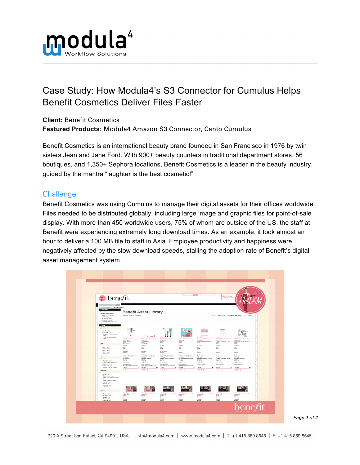

## Case Study: How Modula4's S3 Connector for Cumulus Helps Benefit Cosmetics Deliver Files Faster

**Client:** Benefit Cosmetics **Featured Products:** Modula4 Amazon S3 Connector, Canto Cumulus

Benefit Cosmetics is an international beauty brand founded in San Francisco in 1976 by twin sisters Jean and Jane Ford. With 900+ beauty counters in traditional department stores, 56 boutiques, and 1,350+ Sephora locations, Benefit Cosmetics is a leader in the beauty industry, guided by the mantra "laughter is the best cosmetic!"

## **Challenge**

Benefit Cosmetics was using Cumulus to manage their digital assets for their offices worldwide. Files needed to be distributed globally, including large image and graphic files for point-of-sale display. With more than 450 worldwide users, 75% of whom are outside of the US, the staff at Benefit were experiencing extremely long download times. As an example, it took almost an hour to deliver a 100 MB file to staff in Asia. Employee productivity and happiness were negatively affected by the slow download speeds, stalling the adoption rate of Benefit's digital asset management system.